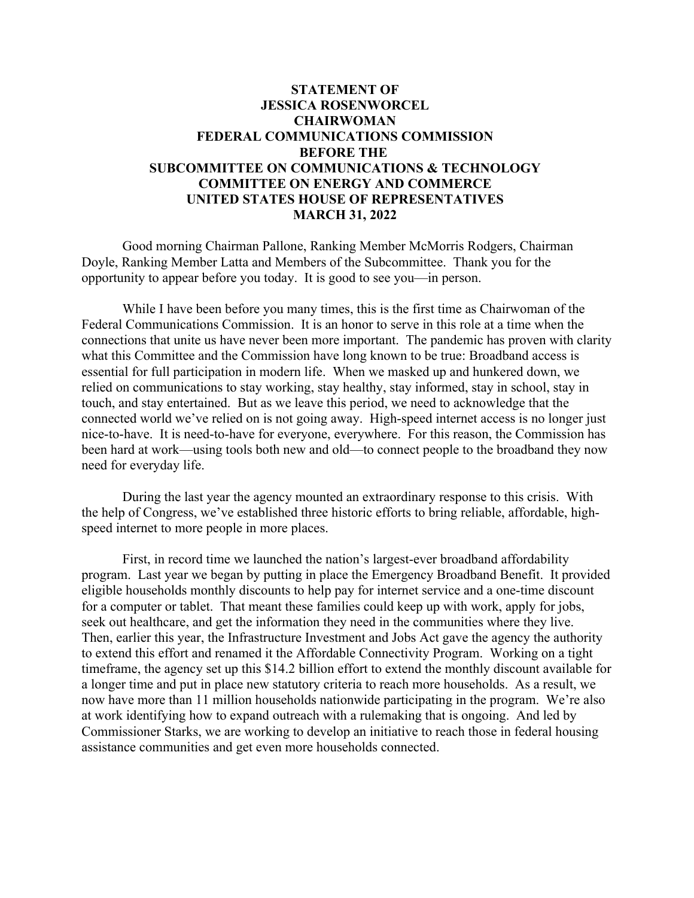## **STATEMENT OF JESSICA ROSENWORCEL CHAIRWOMAN FEDERAL COMMUNICATIONS COMMISSION BEFORE THE SUBCOMMITTEE ON COMMUNICATIONS & TECHNOLOGY COMMITTEE ON ENERGY AND COMMERCE UNITED STATES HOUSE OF REPRESENTATIVES MARCH 31, 2022**

Good morning Chairman Pallone, Ranking Member McMorris Rodgers, Chairman Doyle, Ranking Member Latta and Members of the Subcommittee. Thank you for the opportunity to appear before you today. It is good to see you—in person.

While I have been before you many times, this is the first time as Chairwoman of the Federal Communications Commission. It is an honor to serve in this role at a time when the connections that unite us have never been more important. The pandemic has proven with clarity what this Committee and the Commission have long known to be true: Broadband access is essential for full participation in modern life. When we masked up and hunkered down, we relied on communications to stay working, stay healthy, stay informed, stay in school, stay in touch, and stay entertained. But as we leave this period, we need to acknowledge that the connected world we've relied on is not going away. High-speed internet access is no longer just nice-to-have. It is need-to-have for everyone, everywhere. For this reason, the Commission has been hard at work—using tools both new and old—to connect people to the broadband they now need for everyday life.

During the last year the agency mounted an extraordinary response to this crisis. With the help of Congress, we've established three historic efforts to bring reliable, affordable, highspeed internet to more people in more places.

First, in record time we launched the nation's largest-ever broadband affordability program. Last year we began by putting in place the Emergency Broadband Benefit. It provided eligible households monthly discounts to help pay for internet service and a one-time discount for a computer or tablet. That meant these families could keep up with work, apply for jobs, seek out healthcare, and get the information they need in the communities where they live. Then, earlier this year, the Infrastructure Investment and Jobs Act gave the agency the authority to extend this effort and renamed it the Affordable Connectivity Program. Working on a tight timeframe, the agency set up this \$14.2 billion effort to extend the monthly discount available for a longer time and put in place new statutory criteria to reach more households. As a result, we now have more than 11 million households nationwide participating in the program. We're also at work identifying how to expand outreach with a rulemaking that is ongoing. And led by Commissioner Starks, we are working to develop an initiative to reach those in federal housing assistance communities and get even more households connected.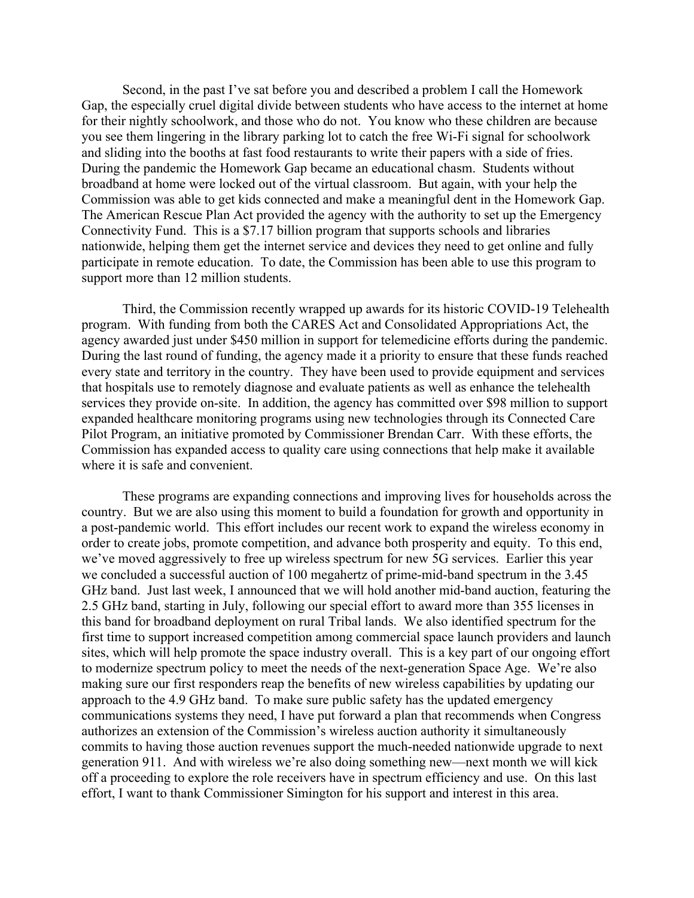Second, in the past I've sat before you and described a problem I call the Homework Gap, the especially cruel digital divide between students who have access to the internet at home for their nightly schoolwork, and those who do not. You know who these children are because you see them lingering in the library parking lot to catch the free Wi-Fi signal for schoolwork and sliding into the booths at fast food restaurants to write their papers with a side of fries. During the pandemic the Homework Gap became an educational chasm. Students without broadband at home were locked out of the virtual classroom. But again, with your help the Commission was able to get kids connected and make a meaningful dent in the Homework Gap. The American Rescue Plan Act provided the agency with the authority to set up the Emergency Connectivity Fund. This is a \$7.17 billion program that supports schools and libraries nationwide, helping them get the internet service and devices they need to get online and fully participate in remote education. To date, the Commission has been able to use this program to support more than 12 million students.

Third, the Commission recently wrapped up awards for its historic COVID-19 Telehealth program. With funding from both the CARES Act and Consolidated Appropriations Act, the agency awarded just under \$450 million in support for telemedicine efforts during the pandemic. During the last round of funding, the agency made it a priority to ensure that these funds reached every state and territory in the country. They have been used to provide equipment and services that hospitals use to remotely diagnose and evaluate patients as well as enhance the telehealth services they provide on-site. In addition, the agency has committed over \$98 million to support expanded healthcare monitoring programs using new technologies through its Connected Care Pilot Program, an initiative promoted by Commissioner Brendan Carr. With these efforts, the Commission has expanded access to quality care using connections that help make it available where it is safe and convenient.

These programs are expanding connections and improving lives for households across the country. But we are also using this moment to build a foundation for growth and opportunity in a post-pandemic world. This effort includes our recent work to expand the wireless economy in order to create jobs, promote competition, and advance both prosperity and equity. To this end, we've moved aggressively to free up wireless spectrum for new 5G services. Earlier this year we concluded a successful auction of 100 megahertz of prime-mid-band spectrum in the 3.45 GHz band. Just last week, I announced that we will hold another mid-band auction, featuring the 2.5 GHz band, starting in July, following our special effort to award more than 355 licenses in this band for broadband deployment on rural Tribal lands. We also identified spectrum for the first time to support increased competition among commercial space launch providers and launch sites, which will help promote the space industry overall. This is a key part of our ongoing effort to modernize spectrum policy to meet the needs of the next-generation Space Age. We're also making sure our first responders reap the benefits of new wireless capabilities by updating our approach to the 4.9 GHz band. To make sure public safety has the updated emergency communications systems they need, I have put forward a plan that recommends when Congress authorizes an extension of the Commission's wireless auction authority it simultaneously commits to having those auction revenues support the much-needed nationwide upgrade to next generation 911. And with wireless we're also doing something new—next month we will kick off a proceeding to explore the role receivers have in spectrum efficiency and use. On this last effort, I want to thank Commissioner Simington for his support and interest in this area.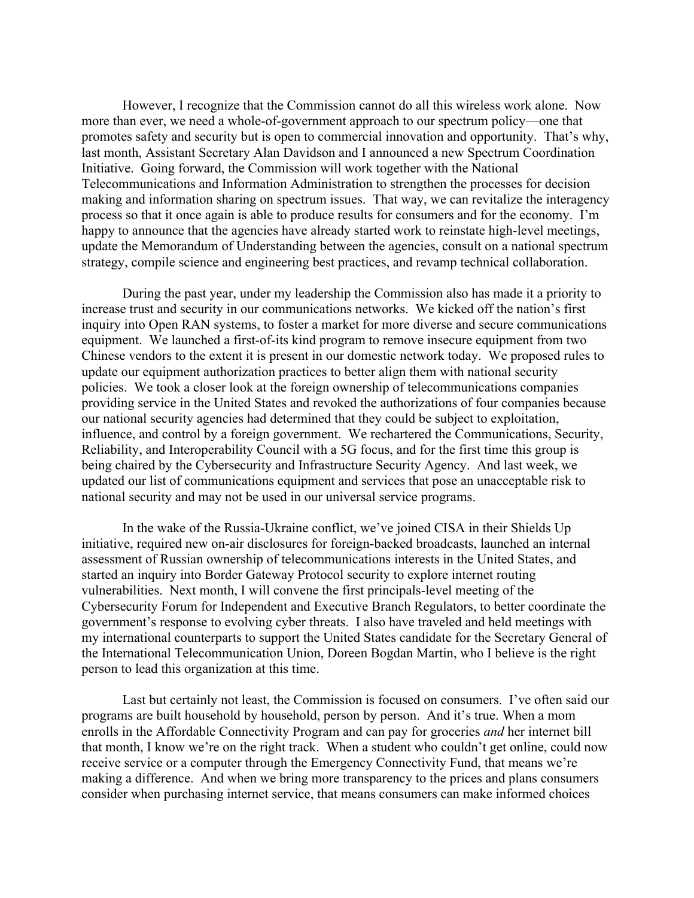However, I recognize that the Commission cannot do all this wireless work alone. Now more than ever, we need a whole-of-government approach to our spectrum policy—one that promotes safety and security but is open to commercial innovation and opportunity. That's why, last month, Assistant Secretary Alan Davidson and I announced a new Spectrum Coordination Initiative. Going forward, the Commission will work together with the National Telecommunications and Information Administration to strengthen the processes for decision making and information sharing on spectrum issues. That way, we can revitalize the interagency process so that it once again is able to produce results for consumers and for the economy. I'm happy to announce that the agencies have already started work to reinstate high-level meetings, update the Memorandum of Understanding between the agencies, consult on a national spectrum strategy, compile science and engineering best practices, and revamp technical collaboration.

During the past year, under my leadership the Commission also has made it a priority to increase trust and security in our communications networks. We kicked off the nation's first inquiry into Open RAN systems, to foster a market for more diverse and secure communications equipment. We launched a first-of-its kind program to remove insecure equipment from two Chinese vendors to the extent it is present in our domestic network today. We proposed rules to update our equipment authorization practices to better align them with national security policies. We took a closer look at the foreign ownership of telecommunications companies providing service in the United States and revoked the authorizations of four companies because our national security agencies had determined that they could be subject to exploitation, influence, and control by a foreign government. We rechartered the Communications, Security, Reliability, and Interoperability Council with a 5G focus, and for the first time this group is being chaired by the Cybersecurity and Infrastructure Security Agency. And last week, we updated our list of communications equipment and services that pose an unacceptable risk to national security and may not be used in our universal service programs.

In the wake of the Russia-Ukraine conflict, we've joined CISA in their Shields Up initiative, required new on-air disclosures for foreign-backed broadcasts, launched an internal assessment of Russian ownership of telecommunications interests in the United States, and started an inquiry into Border Gateway Protocol security to explore internet routing vulnerabilities. Next month, I will convene the first principals-level meeting of the Cybersecurity Forum for Independent and Executive Branch Regulators, to better coordinate the government's response to evolving cyber threats. I also have traveled and held meetings with my international counterparts to support the United States candidate for the Secretary General of the International Telecommunication Union, Doreen Bogdan Martin, who I believe is the right person to lead this organization at this time.

Last but certainly not least, the Commission is focused on consumers. I've often said our programs are built household by household, person by person. And it's true. When a mom enrolls in the Affordable Connectivity Program and can pay for groceries *and* her internet bill that month, I know we're on the right track. When a student who couldn't get online, could now receive service or a computer through the Emergency Connectivity Fund, that means we're making a difference. And when we bring more transparency to the prices and plans consumers consider when purchasing internet service, that means consumers can make informed choices